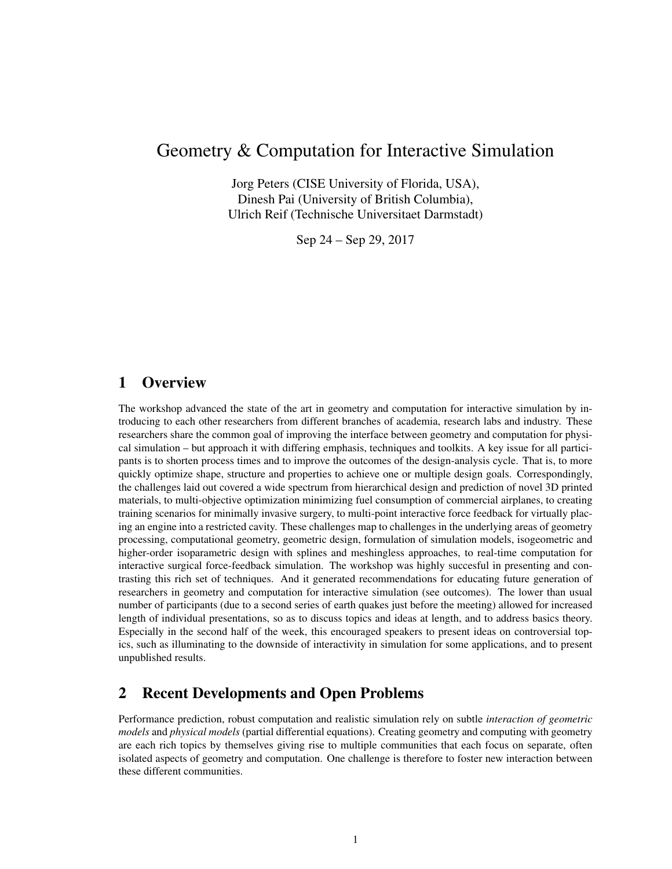# <span id="page-0-0"></span>Geometry & Computation for Interactive Simulation

Jorg Peters (CISE University of Florida, USA), Dinesh Pai (University of British Columbia), Ulrich Reif (Technische Universitaet Darmstadt)

Sep 24 – Sep 29, 2017

# 1 Overview

The workshop advanced the state of the art in geometry and computation for interactive simulation by introducing to each other researchers from different branches of academia, research labs and industry. These researchers share the common goal of improving the interface between geometry and computation for physical simulation – but approach it with differing emphasis, techniques and toolkits. A key issue for all participants is to shorten process times and to improve the outcomes of the design-analysis cycle. That is, to more quickly optimize shape, structure and properties to achieve one or multiple design goals. Correspondingly, the challenges laid out covered a wide spectrum from hierarchical design and prediction of novel 3D printed materials, to multi-objective optimization minimizing fuel consumption of commercial airplanes, to creating training scenarios for minimally invasive surgery, to multi-point interactive force feedback for virtually placing an engine into a restricted cavity. These challenges map to challenges in the underlying areas of geometry processing, computational geometry, geometric design, formulation of simulation models, isogeometric and higher-order isoparametric design with splines and meshingless approaches, to real-time computation for interactive surgical force-feedback simulation. The workshop was highly succesful in presenting and contrasting this rich set of techniques. And it generated recommendations for educating future generation of researchers in geometry and computation for interactive simulation (see outcomes). The lower than usual number of participants (due to a second series of earth quakes just before the meeting) allowed for increased length of individual presentations, so as to discuss topics and ideas at length, and to address basics theory. Especially in the second half of the week, this encouraged speakers to present ideas on controversial topics, such as illuminating to the downside of interactivity in simulation for some applications, and to present unpublished results.

# 2 Recent Developments and Open Problems

Performance prediction, robust computation and realistic simulation rely on subtle *interaction of geometric models* and *physical models* (partial differential equations). Creating geometry and computing with geometry are each rich topics by themselves giving rise to multiple communities that each focus on separate, often isolated aspects of geometry and computation. One challenge is therefore to foster new interaction between these different communities.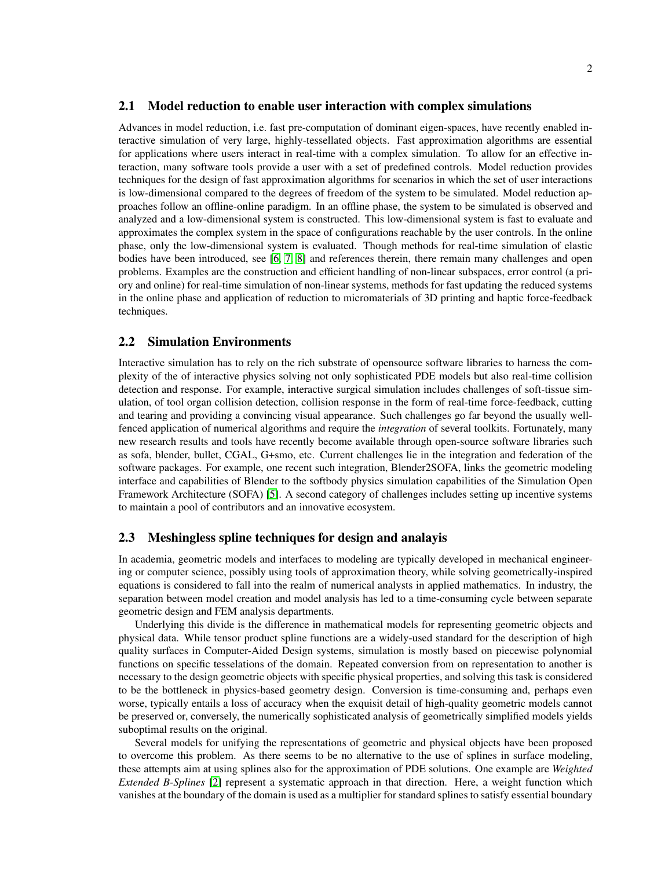#### 2.1 Model reduction to enable user interaction with complex simulations

Advances in model reduction, i.e. fast pre-computation of dominant eigen-spaces, have recently enabled interactive simulation of very large, highly-tessellated objects. Fast approximation algorithms are essential for applications where users interact in real-time with a complex simulation. To allow for an effective interaction, many software tools provide a user with a set of predefined controls. Model reduction provides techniques for the design of fast approximation algorithms for scenarios in which the set of user interactions is low-dimensional compared to the degrees of freedom of the system to be simulated. Model reduction approaches follow an offline-online paradigm. In an offline phase, the system to be simulated is observed and analyzed and a low-dimensional system is constructed. This low-dimensional system is fast to evaluate and approximates the complex system in the space of configurations reachable by the user controls. In the online phase, only the low-dimensional system is evaluated. Though methods for real-time simulation of elastic bodies have been introduced, see [\[6,](#page-11-0) [7,](#page-11-1) [8\]](#page-11-2) and references therein, there remain many challenges and open problems. Examples are the construction and efficient handling of non-linear subspaces, error control (a priory and online) for real-time simulation of non-linear systems, methods for fast updating the reduced systems in the online phase and application of reduction to micromaterials of 3D printing and haptic force-feedback techniques.

#### 2.2 Simulation Environments

Interactive simulation has to rely on the rich substrate of opensource software libraries to harness the complexity of the of interactive physics solving not only sophisticated PDE models but also real-time collision detection and response. For example, interactive surgical simulation includes challenges of soft-tissue simulation, of tool organ collision detection, collision response in the form of real-time force-feedback, cutting and tearing and providing a convincing visual appearance. Such challenges go far beyond the usually wellfenced application of numerical algorithms and require the *integration* of several toolkits. Fortunately, many new research results and tools have recently become available through open-source software libraries such as sofa, blender, bullet, CGAL, G+smo, etc. Current challenges lie in the integration and federation of the software packages. For example, one recent such integration, Blender2SOFA, links the geometric modeling interface and capabilities of Blender to the softbody physics simulation capabilities of the Simulation Open Framework Architecture (SOFA) [\[5\]](#page-11-3). A second category of challenges includes setting up incentive systems to maintain a pool of contributors and an innovative ecosystem.

#### 2.3 Meshingless spline techniques for design and analayis

In academia, geometric models and interfaces to modeling are typically developed in mechanical engineering or computer science, possibly using tools of approximation theory, while solving geometrically-inspired equations is considered to fall into the realm of numerical analysts in applied mathematics. In industry, the separation between model creation and model analysis has led to a time-consuming cycle between separate geometric design and FEM analysis departments.

Underlying this divide is the difference in mathematical models for representing geometric objects and physical data. While tensor product spline functions are a widely-used standard for the description of high quality surfaces in Computer-Aided Design systems, simulation is mostly based on piecewise polynomial functions on specific tesselations of the domain. Repeated conversion from on representation to another is necessary to the design geometric objects with specific physical properties, and solving this task is considered to be the bottleneck in physics-based geometry design. Conversion is time-consuming and, perhaps even worse, typically entails a loss of accuracy when the exquisit detail of high-quality geometric models cannot be preserved or, conversely, the numerically sophisticated analysis of geometrically simplified models yields suboptimal results on the original.

Several models for unifying the representations of geometric and physical objects have been proposed to overcome this problem. As there seems to be no alternative to the use of splines in surface modeling, these attempts aim at using splines also for the approximation of PDE solutions. One example are *Weighted Extended B-Splines* [\[2\]](#page-11-4) represent a systematic approach in that direction. Here, a weight function which vanishes at the boundary of the domain is used as a multiplier for standard splines to satisfy essential boundary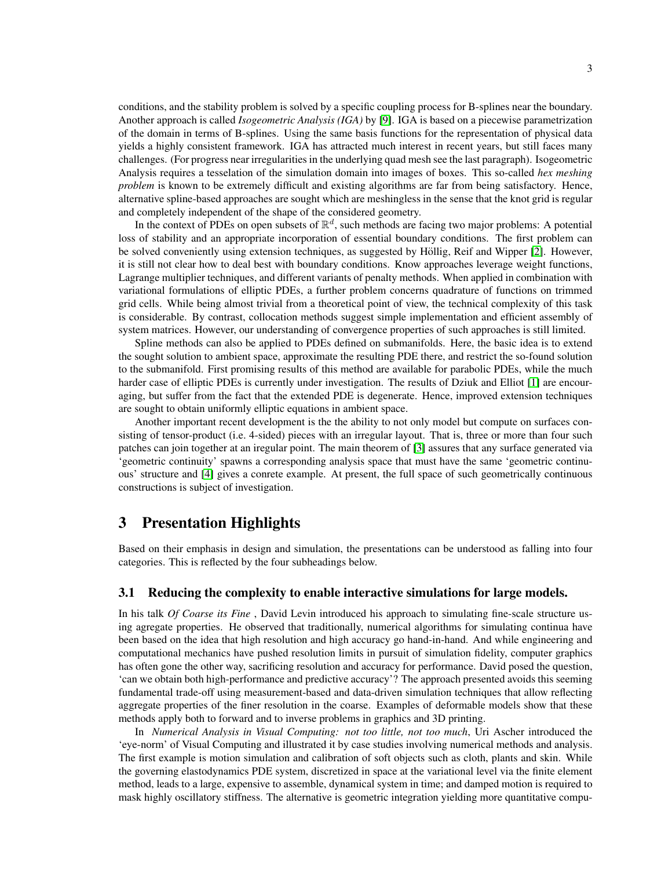conditions, and the stability problem is solved by a specific coupling process for B-splines near the boundary. Another approach is called *Isogeometric Analysis (IGA)* by [\[9\]](#page-11-5). IGA is based on a piecewise parametrization of the domain in terms of B-splines. Using the same basis functions for the representation of physical data yields a highly consistent framework. IGA has attracted much interest in recent years, but still faces many challenges. (For progress near irregularities in the underlying quad mesh see the last paragraph). Isogeometric Analysis requires a tesselation of the simulation domain into images of boxes. This so-called *hex meshing problem* is known to be extremely difficult and existing algorithms are far from being satisfactory. Hence, alternative spline-based approaches are sought which are meshingless in the sense that the knot grid is regular and completely independent of the shape of the considered geometry.

In the context of PDEs on open subsets of  $\mathbb{R}^d$ , such methods are facing two major problems: A potential loss of stability and an appropriate incorporation of essential boundary conditions. The first problem can be solved conveniently using extension techniques, as suggested by Höllig, Reif and Wipper [\[2\]](#page-11-4). However, it is still not clear how to deal best with boundary conditions. Know approaches leverage weight functions, Lagrange multiplier techniques, and different variants of penalty methods. When applied in combination with variational formulations of elliptic PDEs, a further problem concerns quadrature of functions on trimmed grid cells. While being almost trivial from a theoretical point of view, the technical complexity of this task is considerable. By contrast, collocation methods suggest simple implementation and efficient assembly of system matrices. However, our understanding of convergence properties of such approaches is still limited.

Spline methods can also be applied to PDEs defined on submanifolds. Here, the basic idea is to extend the sought solution to ambient space, approximate the resulting PDE there, and restrict the so-found solution to the submanifold. First promising results of this method are available for parabolic PDEs, while the much harder case of elliptic PDEs is currently under investigation. The results of Dziuk and Elliot [\[1\]](#page-11-6) are encouraging, but suffer from the fact that the extended PDE is degenerate. Hence, improved extension techniques are sought to obtain uniformly elliptic equations in ambient space.

Another important recent development is the the ability to not only model but compute on surfaces consisting of tensor-product (i.e. 4-sided) pieces with an irregular layout. That is, three or more than four such patches can join together at an iregular point. The main theorem of [\[3\]](#page-11-7) assures that any surface generated via 'geometric continuity' spawns a corresponding analysis space that must have the same 'geometric continuous' structure and [\[4\]](#page-11-8) gives a conrete example. At present, the full space of such geometrically continuous constructions is subject of investigation.

## 3 Presentation Highlights

Based on their emphasis in design and simulation, the presentations can be understood as falling into four categories. This is reflected by the four subheadings below.

#### 3.1 Reducing the complexity to enable interactive simulations for large models.

In his talk *Of Coarse its Fine* , David Levin introduced his approach to simulating fine-scale structure using agregate properties. He observed that traditionally, numerical algorithms for simulating continua have been based on the idea that high resolution and high accuracy go hand-in-hand. And while engineering and computational mechanics have pushed resolution limits in pursuit of simulation fidelity, computer graphics has often gone the other way, sacrificing resolution and accuracy for performance. David posed the question, 'can we obtain both high-performance and predictive accuracy'? The approach presented avoids this seeming fundamental trade-off using measurement-based and data-driven simulation techniques that allow reflecting aggregate properties of the finer resolution in the coarse. Examples of deformable models show that these methods apply both to forward and to inverse problems in graphics and 3D printing.

In *Numerical Analysis in Visual Computing: not too little, not too much*, Uri Ascher introduced the 'eye-norm' of Visual Computing and illustrated it by case studies involving numerical methods and analysis. The first example is motion simulation and calibration of soft objects such as cloth, plants and skin. While the governing elastodynamics PDE system, discretized in space at the variational level via the finite element method, leads to a large, expensive to assemble, dynamical system in time; and damped motion is required to mask highly oscillatory stiffness. The alternative is geometric integration yielding more quantitative compu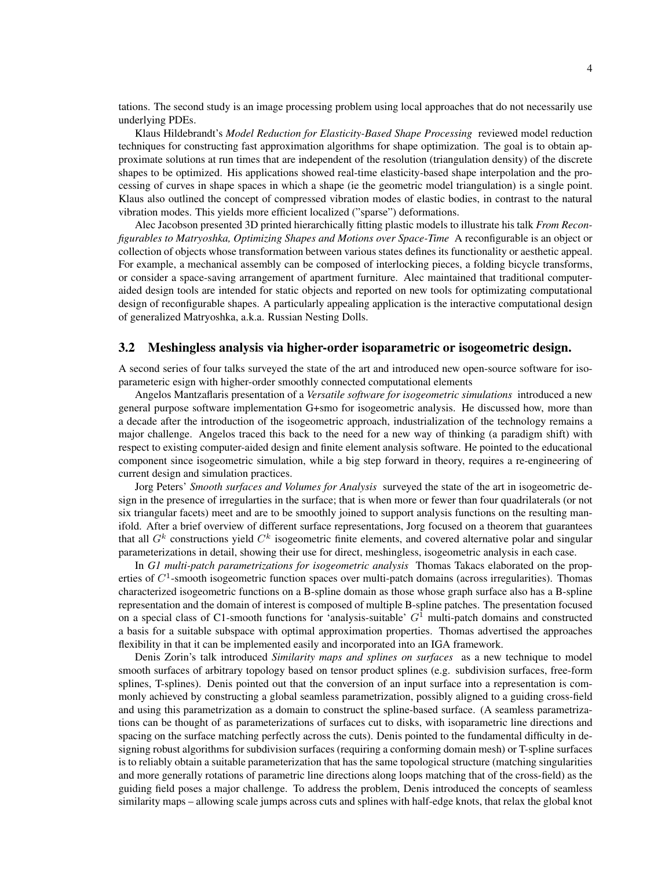tations. The second study is an image processing problem using local approaches that do not necessarily use underlying PDEs.

Klaus Hildebrandt's *Model Reduction for Elasticity-Based Shape Processing* reviewed model reduction techniques for constructing fast approximation algorithms for shape optimization. The goal is to obtain approximate solutions at run times that are independent of the resolution (triangulation density) of the discrete shapes to be optimized. His applications showed real-time elasticity-based shape interpolation and the processing of curves in shape spaces in which a shape (ie the geometric model triangulation) is a single point. Klaus also outlined the concept of compressed vibration modes of elastic bodies, in contrast to the natural vibration modes. This yields more efficient localized ("sparse") deformations.

Alec Jacobson presented 3D printed hierarchically fitting plastic models to illustrate his talk *From Reconfigurables to Matryoshka, Optimizing Shapes and Motions over Space-Time* A reconfigurable is an object or collection of objects whose transformation between various states defines its functionality or aesthetic appeal. For example, a mechanical assembly can be composed of interlocking pieces, a folding bicycle transforms, or consider a space-saving arrangement of apartment furniture. Alec maintained that traditional computeraided design tools are intended for static objects and reported on new tools for optimizating computational design of reconfigurable shapes. A particularly appealing application is the interactive computational design of generalized Matryoshka, a.k.a. Russian Nesting Dolls.

#### 3.2 Meshingless analysis via higher-order isoparametric or isogeometric design.

A second series of four talks surveyed the state of the art and introduced new open-source software for isoparameteric esign with higher-order smoothly connected computational elements

Angelos Mantzaflaris presentation of a *Versatile software for isogeometric simulations* introduced a new general purpose software implementation G+smo for isogeometric analysis. He discussed how, more than a decade after the introduction of the isogeometric approach, industrialization of the technology remains a major challenge. Angelos traced this back to the need for a new way of thinking (a paradigm shift) with respect to existing computer-aided design and finite element analysis software. He pointed to the educational component since isogeometric simulation, while a big step forward in theory, requires a re-engineering of current design and simulation practices.

Jorg Peters' *Smooth surfaces and Volumes for Analysis* surveyed the state of the art in isogeometric design in the presence of irregularties in the surface; that is when more or fewer than four quadrilaterals (or not six triangular facets) meet and are to be smoothly joined to support analysis functions on the resulting manifold. After a brief overview of different surface representations, Jorg focused on a theorem that guarantees that all  $G<sup>k</sup>$  constructions yield  $C<sup>k</sup>$  isogeometric finite elements, and covered alternative polar and singular parameterizations in detail, showing their use for direct, meshingless, isogeometric analysis in each case.

In *G1 multi-patch parametrizations for isogeometric analysis* Thomas Takacs elaborated on the properties of  $C<sup>1</sup>$ -smooth isogeometric function spaces over multi-patch domains (across irregularities). Thomas characterized isogeometric functions on a B-spline domain as those whose graph surface also has a B-spline representation and the domain of interest is composed of multiple B-spline patches. The presentation focused on a special class of C1-smooth functions for 'analysis-suitable'  $G<sup>1</sup>$  multi-patch domains and constructed a basis for a suitable subspace with optimal approximation properties. Thomas advertised the approaches flexibility in that it can be implemented easily and incorporated into an IGA framework.

Denis Zorin's talk introduced *Similarity maps and splines on surfaces* as a new technique to model smooth surfaces of arbitrary topology based on tensor product splines (e.g. subdivision surfaces, free-form splines, T-splines). Denis pointed out that the conversion of an input surface into a representation is commonly achieved by constructing a global seamless parametrization, possibly aligned to a guiding cross-field and using this parametrization as a domain to construct the spline-based surface. (A seamless parametrizations can be thought of as parameterizations of surfaces cut to disks, with isoparametric line directions and spacing on the surface matching perfectly across the cuts). Denis pointed to the fundamental difficulty in designing robust algorithms for subdivision surfaces (requiring a conforming domain mesh) or T-spline surfaces is to reliably obtain a suitable parameterization that has the same topological structure (matching singularities and more generally rotations of parametric line directions along loops matching that of the cross-field) as the guiding field poses a major challenge. To address the problem, Denis introduced the concepts of seamless similarity maps – allowing scale jumps across cuts and splines with half-edge knots, that relax the global knot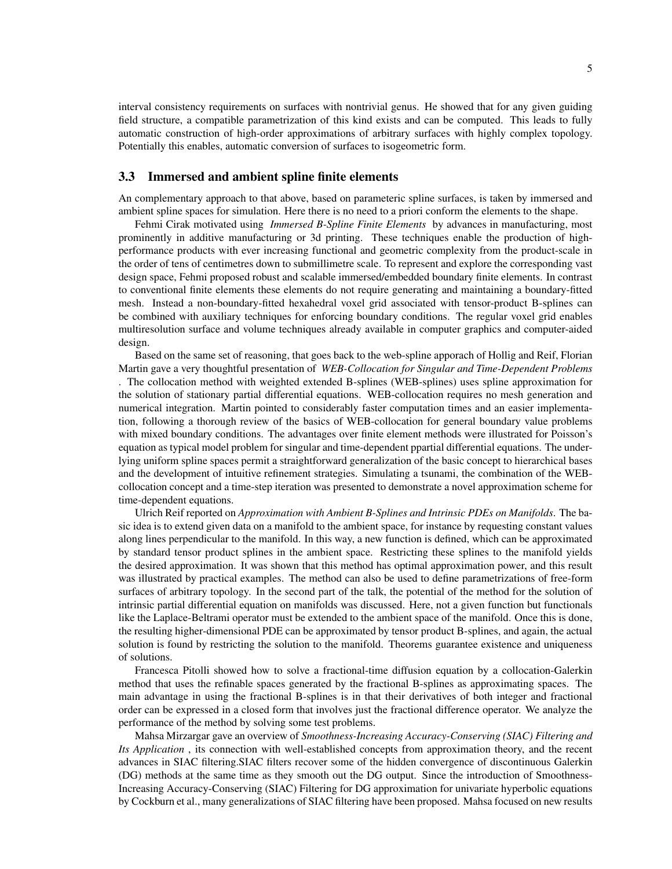interval consistency requirements on surfaces with nontrivial genus. He showed that for any given guiding field structure, a compatible parametrization of this kind exists and can be computed. This leads to fully automatic construction of high-order approximations of arbitrary surfaces with highly complex topology. Potentially this enables, automatic conversion of surfaces to isogeometric form.

#### 3.3 Immersed and ambient spline finite elements

An complementary approach to that above, based on parameteric spline surfaces, is taken by immersed and ambient spline spaces for simulation. Here there is no need to a priori conform the elements to the shape.

Fehmi Cirak motivated using *Immersed B-Spline Finite Elements* by advances in manufacturing, most prominently in additive manufacturing or 3d printing. These techniques enable the production of highperformance products with ever increasing functional and geometric complexity from the product-scale in the order of tens of centimetres down to submillimetre scale. To represent and explore the corresponding vast design space, Fehmi proposed robust and scalable immersed/embedded boundary finite elements. In contrast to conventional finite elements these elements do not require generating and maintaining a boundary-fitted mesh. Instead a non-boundary-fitted hexahedral voxel grid associated with tensor-product B-splines can be combined with auxiliary techniques for enforcing boundary conditions. The regular voxel grid enables multiresolution surface and volume techniques already available in computer graphics and computer-aided design.

Based on the same set of reasoning, that goes back to the web-spline apporach of Hollig and Reif, Florian Martin gave a very thoughtful presentation of *WEB-Collocation for Singular and Time-Dependent Problems* . The collocation method with weighted extended B-splines (WEB-splines) uses spline approximation for the solution of stationary partial differential equations. WEB-collocation requires no mesh generation and numerical integration. Martin pointed to considerably faster computation times and an easier implementation, following a thorough review of the basics of WEB-collocation for general boundary value problems with mixed boundary conditions. The advantages over finite element methods were illustrated for Poisson's equation as typical model problem for singular and time-dependent ppartial differential equations. The underlying uniform spline spaces permit a straightforward generalization of the basic concept to hierarchical bases and the development of intuitive refinement strategies. Simulating a tsunami, the combination of the WEBcollocation concept and a time-step iteration was presented to demonstrate a novel approximation scheme for time-dependent equations.

Ulrich Reif reported on *Approximation with Ambient B-Splines and Intrinsic PDEs on Manifolds*. The basic idea is to extend given data on a manifold to the ambient space, for instance by requesting constant values along lines perpendicular to the manifold. In this way, a new function is defined, which can be approximated by standard tensor product splines in the ambient space. Restricting these splines to the manifold yields the desired approximation. It was shown that this method has optimal approximation power, and this result was illustrated by practical examples. The method can also be used to define parametrizations of free-form surfaces of arbitrary topology. In the second part of the talk, the potential of the method for the solution of intrinsic partial differential equation on manifolds was discussed. Here, not a given function but functionals like the Laplace-Beltrami operator must be extended to the ambient space of the manifold. Once this is done, the resulting higher-dimensional PDE can be approximated by tensor product B-splines, and again, the actual solution is found by restricting the solution to the manifold. Theorems guarantee existence and uniqueness of solutions.

Francesca Pitolli showed how to solve a fractional-time diffusion equation by a collocation-Galerkin method that uses the refinable spaces generated by the fractional B-splines as approximating spaces. The main advantage in using the fractional B-splines is in that their derivatives of both integer and fractional order can be expressed in a closed form that involves just the fractional difference operator. We analyze the performance of the method by solving some test problems.

Mahsa Mirzargar gave an overview of *Smoothness-Increasing Accuracy-Conserving (SIAC) Filtering and Its Application* , its connection with well-established concepts from approximation theory, and the recent advances in SIAC filtering.SIAC filters recover some of the hidden convergence of discontinuous Galerkin (DG) methods at the same time as they smooth out the DG output. Since the introduction of Smoothness-Increasing Accuracy-Conserving (SIAC) Filtering for DG approximation for univariate hyperbolic equations by Cockburn et al., many generalizations of SIAC filtering have been proposed. Mahsa focused on new results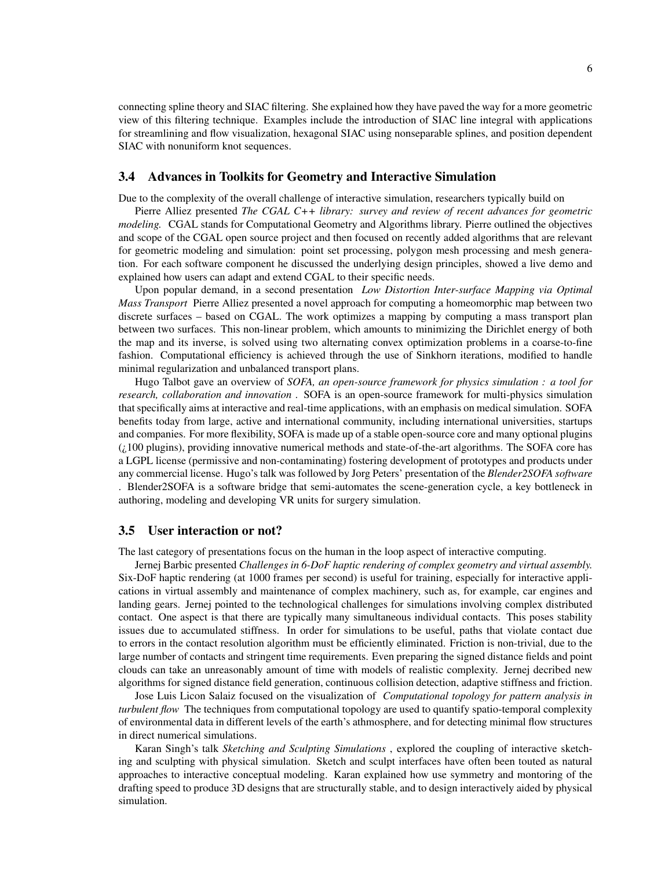connecting spline theory and SIAC filtering. She explained how they have paved the way for a more geometric view of this filtering technique. Examples include the introduction of SIAC line integral with applications for streamlining and flow visualization, hexagonal SIAC using nonseparable splines, and position dependent SIAC with nonuniform knot sequences.

### 3.4 Advances in Toolkits for Geometry and Interactive Simulation

Due to the complexity of the overall challenge of interactive simulation, researchers typically build on

Pierre Alliez presented *The CGAL C++ library: survey and review of recent advances for geometric modeling.* CGAL stands for Computational Geometry and Algorithms library. Pierre outlined the objectives and scope of the CGAL open source project and then focused on recently added algorithms that are relevant for geometric modeling and simulation: point set processing, polygon mesh processing and mesh generation. For each software component he discussed the underlying design principles, showed a live demo and explained how users can adapt and extend CGAL to their specific needs.

Upon popular demand, in a second presentation *Low Distortion Inter-surface Mapping via Optimal Mass Transport* Pierre Alliez presented a novel approach for computing a homeomorphic map between two discrete surfaces – based on CGAL. The work optimizes a mapping by computing a mass transport plan between two surfaces. This non-linear problem, which amounts to minimizing the Dirichlet energy of both the map and its inverse, is solved using two alternating convex optimization problems in a coarse-to-fine fashion. Computational efficiency is achieved through the use of Sinkhorn iterations, modified to handle minimal regularization and unbalanced transport plans.

Hugo Talbot gave an overview of *SOFA, an open-source framework for physics simulation : a tool for research, collaboration and innovation* . SOFA is an open-source framework for multi-physics simulation that specifically aims at interactive and real-time applications, with an emphasis on medical simulation. SOFA benefits today from large, active and international community, including international universities, startups and companies. For more flexibility, SOFA is made up of a stable open-source core and many optional plugins (¿100 plugins), providing innovative numerical methods and state-of-the-art algorithms. The SOFA core has a LGPL license (permissive and non-contaminating) fostering development of prototypes and products under any commercial license. Hugo's talk was followed by Jorg Peters' presentation of the *Blender2SOFA software*

. Blender2SOFA is a software bridge that semi-automates the scene-generation cycle, a key bottleneck in authoring, modeling and developing VR units for surgery simulation.

#### 3.5 User interaction or not?

The last category of presentations focus on the human in the loop aspect of interactive computing.

Jernej Barbic presented *Challenges in 6-DoF haptic rendering of complex geometry and virtual assembly.* Six-DoF haptic rendering (at 1000 frames per second) is useful for training, especially for interactive applications in virtual assembly and maintenance of complex machinery, such as, for example, car engines and landing gears. Jernej pointed to the technological challenges for simulations involving complex distributed contact. One aspect is that there are typically many simultaneous individual contacts. This poses stability issues due to accumulated stiffness. In order for simulations to be useful, paths that violate contact due to errors in the contact resolution algorithm must be efficiently eliminated. Friction is non-trivial, due to the large number of contacts and stringent time requirements. Even preparing the signed distance fields and point clouds can take an unreasonably amount of time with models of realistic complexity. Jernej decribed new algorithms for signed distance field generation, continuous collision detection, adaptive stiffness and friction.

Jose Luis Licon Salaiz focused on the visualization of *Computational topology for pattern analysis in turbulent flow* The techniques from computational topology are used to quantify spatio-temporal complexity of environmental data in different levels of the earth's athmosphere, and for detecting minimal flow structures in direct numerical simulations.

Karan Singh's talk *Sketching and Sculpting Simulations* , explored the coupling of interactive sketching and sculpting with physical simulation. Sketch and sculpt interfaces have often been touted as natural approaches to interactive conceptual modeling. Karan explained how use symmetry and montoring of the drafting speed to produce 3D designs that are structurally stable, and to design interactively aided by physical simulation.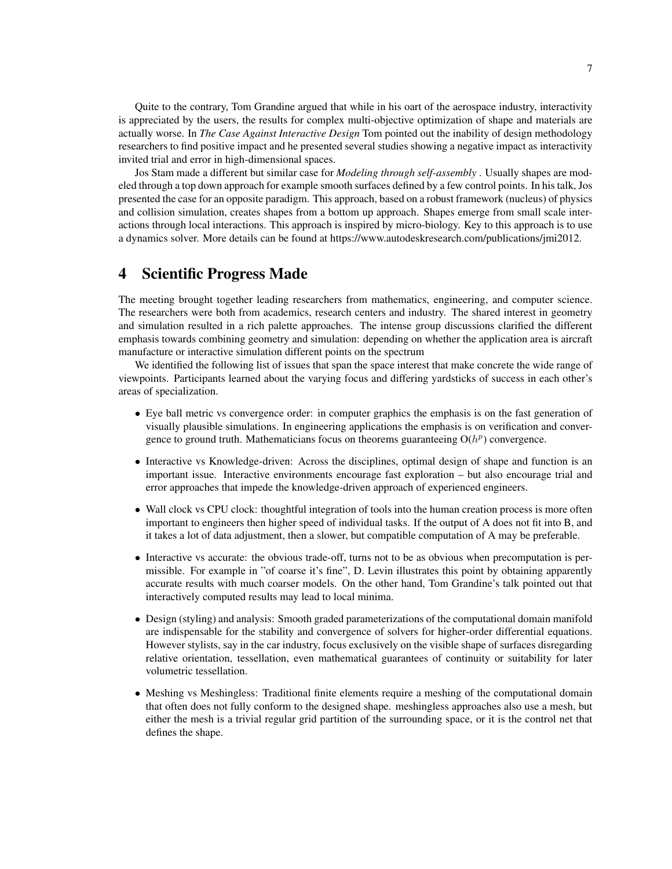Quite to the contrary, Tom Grandine argued that while in his oart of the aerospace industry, interactivity is appreciated by the users, the results for complex multi-objective optimization of shape and materials are actually worse. In *The Case Against Interactive Design* Tom pointed out the inability of design methodology researchers to find positive impact and he presented several studies showing a negative impact as interactivity invited trial and error in high-dimensional spaces.

Jos Stam made a different but similar case for *Modeling through self-assembly* . Usually shapes are modeled through a top down approach for example smooth surfaces defined by a few control points. In his talk, Jos presented the case for an opposite paradigm. This approach, based on a robust framework (nucleus) of physics and collision simulation, creates shapes from a bottom up approach. Shapes emerge from small scale interactions through local interactions. This approach is inspired by micro-biology. Key to this approach is to use a dynamics solver. More details can be found at https://www.autodeskresearch.com/publications/jmi2012.

## 4 Scientific Progress Made

The meeting brought together leading researchers from mathematics, engineering, and computer science. The researchers were both from academics, research centers and industry. The shared interest in geometry and simulation resulted in a rich palette approaches. The intense group discussions clarified the different emphasis towards combining geometry and simulation: depending on whether the application area is aircraft manufacture or interactive simulation different points on the spectrum

We identified the following list of issues that span the space interest that make concrete the wide range of viewpoints. Participants learned about the varying focus and differing yardsticks of success in each other's areas of specialization.

- Eye ball metric vs convergence order: in computer graphics the emphasis is on the fast generation of visually plausible simulations. In engineering applications the emphasis is on verification and convergence to ground truth. Mathematicians focus on theorems guaranteeing  $O(h^p)$  convergence.
- Interactive vs Knowledge-driven: Across the disciplines, optimal design of shape and function is an important issue. Interactive environments encourage fast exploration – but also encourage trial and error approaches that impede the knowledge-driven approach of experienced engineers.
- Wall clock vs CPU clock: thoughtful integration of tools into the human creation process is more often important to engineers then higher speed of individual tasks. If the output of A does not fit into B, and it takes a lot of data adjustment, then a slower, but compatible computation of A may be preferable.
- Interactive vs accurate: the obvious trade-off, turns not to be as obvious when precomputation is permissible. For example in "of coarse it's fine", D. Levin illustrates this point by obtaining apparently accurate results with much coarser models. On the other hand, Tom Grandine's talk pointed out that interactively computed results may lead to local minima.
- Design (styling) and analysis: Smooth graded parameterizations of the computational domain manifold are indispensable for the stability and convergence of solvers for higher-order differential equations. However stylists, say in the car industry, focus exclusively on the visible shape of surfaces disregarding relative orientation, tessellation, even mathematical guarantees of continuity or suitability for later volumetric tessellation.
- Meshing vs Meshingless: Traditional finite elements require a meshing of the computational domain that often does not fully conform to the designed shape. meshingless approaches also use a mesh, but either the mesh is a trivial regular grid partition of the surrounding space, or it is the control net that defines the shape.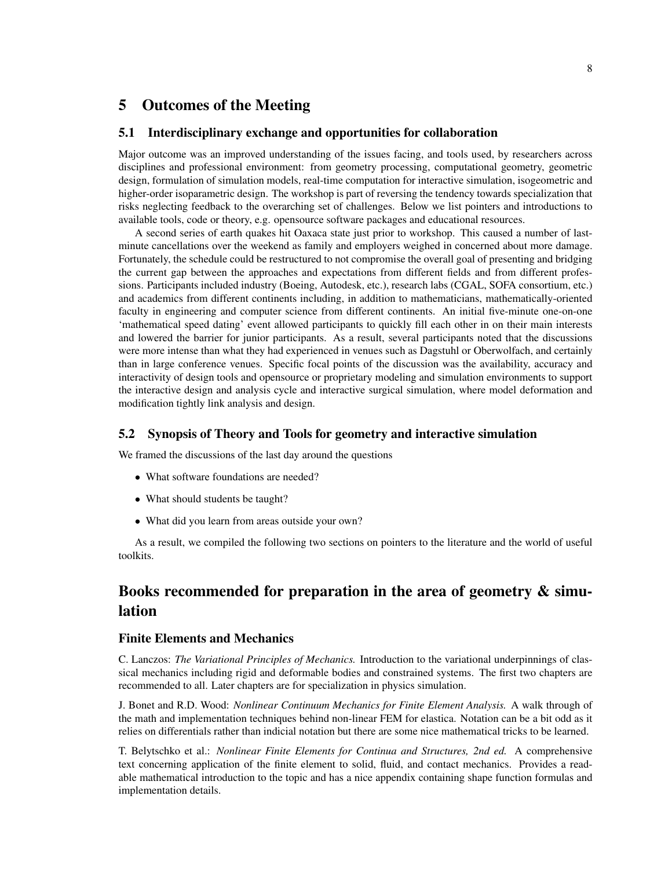## 5 Outcomes of the Meeting

#### 5.1 Interdisciplinary exchange and opportunities for collaboration

Major outcome was an improved understanding of the issues facing, and tools used, by researchers across disciplines and professional environment: from geometry processing, computational geometry, geometric design, formulation of simulation models, real-time computation for interactive simulation, isogeometric and higher-order isoparametric design. The workshop is part of reversing the tendency towards specialization that risks neglecting feedback to the overarching set of challenges. Below we list pointers and introductions to available tools, code or theory, e.g. opensource software packages and educational resources.

A second series of earth quakes hit Oaxaca state just prior to workshop. This caused a number of lastminute cancellations over the weekend as family and employers weighed in concerned about more damage. Fortunately, the schedule could be restructured to not compromise the overall goal of presenting and bridging the current gap between the approaches and expectations from different fields and from different professions. Participants included industry (Boeing, Autodesk, etc.), research labs (CGAL, SOFA consortium, etc.) and academics from different continents including, in addition to mathematicians, mathematically-oriented faculty in engineering and computer science from different continents. An initial five-minute one-on-one 'mathematical speed dating' event allowed participants to quickly fill each other in on their main interests and lowered the barrier for junior participants. As a result, several participants noted that the discussions were more intense than what they had experienced in venues such as Dagstuhl or Oberwolfach, and certainly than in large conference venues. Specific focal points of the discussion was the availability, accuracy and interactivity of design tools and opensource or proprietary modeling and simulation environments to support the interactive design and analysis cycle and interactive surgical simulation, where model deformation and modification tightly link analysis and design.

#### 5.2 Synopsis of Theory and Tools for geometry and interactive simulation

We framed the discussions of the last day around the questions

- What software foundations are needed?
- What should students be taught?
- What did you learn from areas outside your own?

As a result, we compiled the following two sections on pointers to the literature and the world of useful toolkits.

# Books recommended for preparation in the area of geometry & simulation

#### Finite Elements and Mechanics

C. Lanczos: *The Variational Principles of Mechanics.* Introduction to the variational underpinnings of classical mechanics including rigid and deformable bodies and constrained systems. The first two chapters are recommended to all. Later chapters are for specialization in physics simulation.

J. Bonet and R.D. Wood: *Nonlinear Continuum Mechanics for Finite Element Analysis.* A walk through of the math and implementation techniques behind non-linear FEM for elastica. Notation can be a bit odd as it relies on differentials rather than indicial notation but there are some nice mathematical tricks to be learned.

T. Belytschko et al.: *Nonlinear Finite Elements for Continua and Structures, 2nd ed.* A comprehensive text concerning application of the finite element to solid, fluid, and contact mechanics. Provides a readable mathematical introduction to the topic and has a nice appendix containing shape function formulas and implementation details.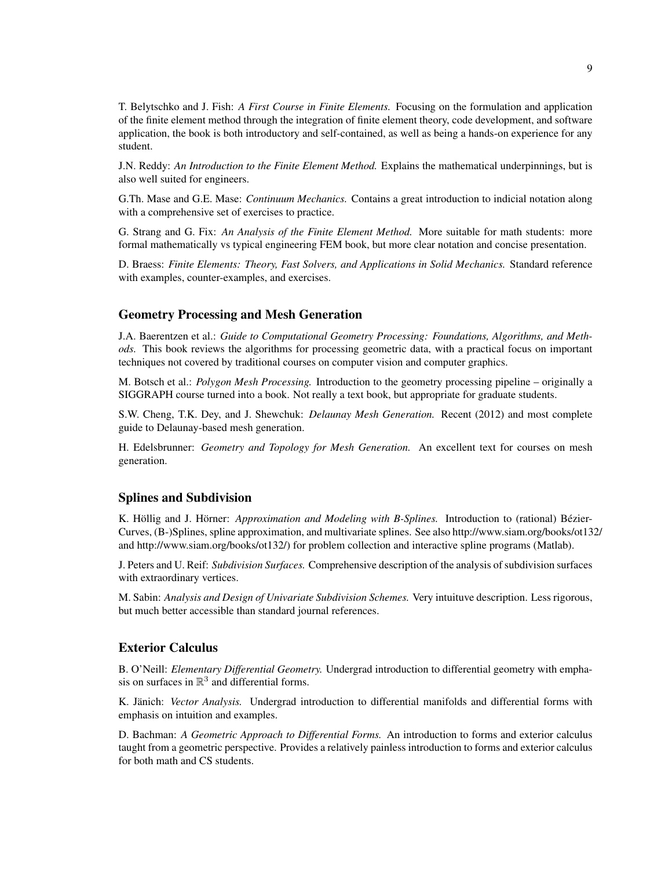T. Belytschko and J. Fish: *A First Course in Finite Elements.* Focusing on the formulation and application of the finite element method through the integration of finite element theory, code development, and software application, the book is both introductory and self-contained, as well as being a hands-on experience for any student.

J.N. Reddy: *An Introduction to the Finite Element Method.* Explains the mathematical underpinnings, but is also well suited for engineers.

G.Th. Mase and G.E. Mase: *Continuum Mechanics.* Contains a great introduction to indicial notation along with a comprehensive set of exercises to practice.

G. Strang and G. Fix: *An Analysis of the Finite Element Method.* More suitable for math students: more formal mathematically vs typical engineering FEM book, but more clear notation and concise presentation.

D. Braess: *Finite Elements: Theory, Fast Solvers, and Applications in Solid Mechanics.* Standard reference with examples, counter-examples, and exercises.

#### Geometry Processing and Mesh Generation

J.A. Baerentzen et al.: *Guide to Computational Geometry Processing: Foundations, Algorithms, and Methods.* This book reviews the algorithms for processing geometric data, with a practical focus on important techniques not covered by traditional courses on computer vision and computer graphics.

M. Botsch et al.: *Polygon Mesh Processing.* Introduction to the geometry processing pipeline – originally a SIGGRAPH course turned into a book. Not really a text book, but appropriate for graduate students.

S.W. Cheng, T.K. Dey, and J. Shewchuk: *Delaunay Mesh Generation.* Recent (2012) and most complete guide to Delaunay-based mesh generation.

H. Edelsbrunner: *Geometry and Topology for Mesh Generation.* An excellent text for courses on mesh generation.

#### Splines and Subdivision

K. Höllig and J. Hörner: *Approximation and Modeling with B-Splines*. Introduction to (rational) Bézier-Curves, (B-)Splines, spline approximation, and multivariate splines. See also http://www.siam.org/books/ot132/ and http://www.siam.org/books/ot132/) for problem collection and interactive spline programs (Matlab).

J. Peters and U. Reif: *Subdivision Surfaces.* Comprehensive description of the analysis of subdivision surfaces with extraordinary vertices.

M. Sabin: *Analysis and Design of Univariate Subdivision Schemes.* Very intuituve description. Less rigorous, but much better accessible than standard journal references.

#### Exterior Calculus

B. O'Neill: *Elementary Differential Geometry.* Undergrad introduction to differential geometry with emphasis on surfaces in  $\mathbb{R}^3$  and differential forms.

K. Jänich: Vector Analysis. Undergrad introduction to differential manifolds and differential forms with emphasis on intuition and examples.

D. Bachman: *A Geometric Approach to Differential Forms.* An introduction to forms and exterior calculus taught from a geometric perspective. Provides a relatively painless introduction to forms and exterior calculus for both math and CS students.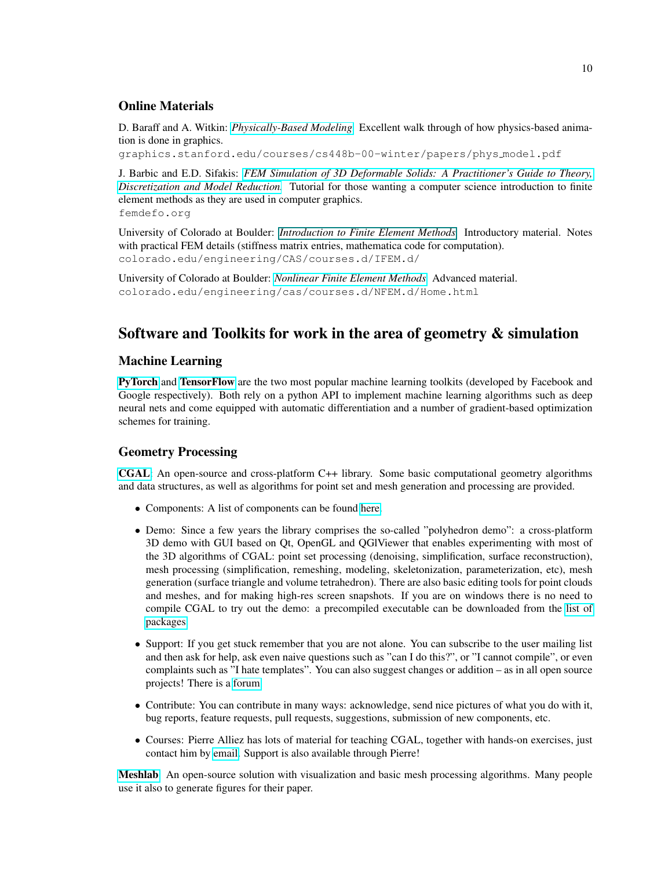### Online Materials

D. Baraff and A. Witkin: *[Physically-Based Modeling.](https://graphics.stanford.edu/courses/cs448b-00-winter/papers/phys_model.pdf)* Excellent walk through of how physics-based animation is done in graphics.

graphics.stanford.edu/courses/cs448b-00-winter/papers/phys model.pdf

J. Barbic and E.D. Sifakis: *[FEM Simulation of 3D Deformable Solids: A Practitioner's Guide to Theory,](www.femdefo.org) [Discretization and Model Reduction.](www.femdefo.org)* Tutorial for those wanting a computer science introduction to finite element methods as they are used in computer graphics. femdefo.org

University of Colorado at Boulder: *[Introduction to Finite Element Methods.](#page-0-0)* Introductory material. Notes with practical FEM details (stiffness matrix entries, mathematica code for computation). colorado.edu/engineering/CAS/courses.d/IFEM.d/

University of Colorado at Boulder: *[Nonlinear Finite Element Methods.](www.colorado.edu/engineering/cas/courses.d/NFEM.d/Home.html)* Advanced material. colorado.edu/engineering/cas/courses.d/NFEM.d/Home.html

# Software and Toolkits for work in the area of geometry & simulation

### Machine Learning

[PyTorch](http://pytorch.org) and [TensorFlow](https://www.tensorflow.org) are the two most popular machine learning toolkits (developed by Facebook and Google respectively). Both rely on a python API to implement machine learning algorithms such as deep neural nets and come equipped with automatic differentiation and a number of gradient-based optimization schemes for training.

### Geometry Processing

[CGAL](https://www.cgal.org): An open-source and cross-platform C++ library. Some basic computational geometry algorithms and data structures, as well as algorithms for point set and mesh generation and processing are provided.

- Components: A list of components can be found [here.](https://doc.cgal.org/latest/Manual/packages.html)
- Demo: Since a few years the library comprises the so-called "polyhedron demo": a cross-platform 3D demo with GUI based on Qt, OpenGL and QGlViewer that enables experimenting with most of the 3D algorithms of CGAL: point set processing (denoising, simplification, surface reconstruction), mesh processing (simplification, remeshing, modeling, skeletonization, parameterization, etc), mesh generation (surface triangle and volume tetrahedron). There are also basic editing tools for point clouds and meshes, and for making high-res screen snapshots. If you are on windows there is no need to compile CGAL to try out the demo: a precompiled executable can be downloaded from the [list of](https://doc.cgal.org/latest/Manual/packages.html) [packages.](https://doc.cgal.org/latest/Manual/packages.html)
- Support: If you get stuck remember that you are not alone. You can subscribe to the user mailing list and then ask for help, ask even naive questions such as "can I do this?", or "I cannot compile", or even complaints such as "I hate templates". You can also suggest changes or addition – as in all open source projects! There is a [forum.](https://www.cgal.org/support.html)
- Contribute: You can contribute in many ways: acknowledge, send nice pictures of what you do with it, bug reports, feature requests, pull requests, suggestions, submission of new components, etc.
- Courses: Pierre Alliez has lots of material for teaching CGAL, together with hands-on exercises, just contact him by [email.](mailto:pierre.alliez@inria.fr) Support is also available through Pierre!

[Meshlab](http://meshlab.sourceforge.net): An open-source solution with visualization and basic mesh processing algorithms. Many people use it also to generate figures for their paper.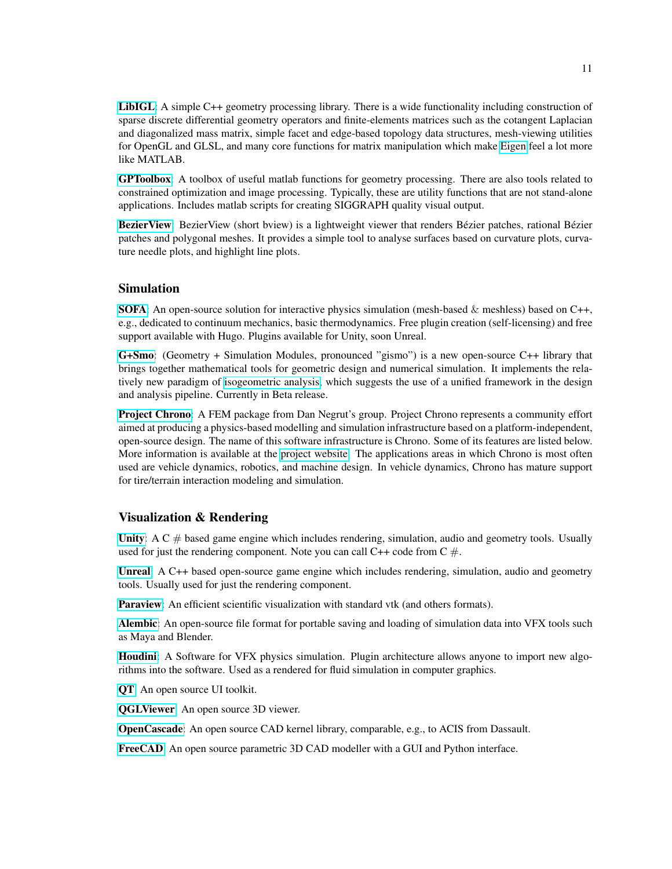[LibIGL](https://github.com/libigl/libigl): A simple C++ geometry processing library. There is a wide functionality including construction of sparse discrete differential geometry operators and finite-elements matrices such as the cotangent Laplacian and diagonalized mass matrix, simple facet and edge-based topology data structures, mesh-viewing utilities for OpenGL and GLSL, and many core functions for matrix manipulation which make [Eigen](http://eigen.tuxfamily.org/) feel a lot more like MATLAB.

[GPToolbox](https://github.com/alecjacobson/gptoolbox): A toolbox of useful matlab functions for geometry processing. There are also tools related to constrained optimization and image processing. Typically, these are utility functions that are not stand-alone applications. Includes matlab scripts for creating SIGGRAPH quality visual output.

Bezier View: Bezier View (short bview) is a lightweight viewer that renders Bézier patches, rational Bézier patches and polygonal meshes. It provides a simple tool to analyse surfaces based on curvature plots, curvature needle plots, and highlight line plots.

### Simulation

**[SOFA](https://www.sofa-framework.org):** An open-source solution for interactive physics simulation (mesh-based & meshless) based on  $C_{++}$ , e.g., dedicated to continuum mechanics, basic thermodynamics. Free plugin creation (self-licensing) and free support available with Hugo. Plugins available for Unity, soon Unreal.

[G+Smo](http://www.gs.jku.at/gismo): (Geometry + Simulation Modules, pronounced "gismo") is a new open-source C++ library that brings together mathematical tools for geometric design and numerical simulation. It implements the relatively new paradigm of [isogeometric analysis,](http://en.wikipedia.org/wiki/Isogeometric_analysis) which suggests the use of a unified framework in the design and analysis pipeline. Currently in Beta release.

[Project Chrono](https://github.com/projectchrono/chrono): A FEM package from Dan Negrut's group. Project Chrono represents a community effort aimed at producing a physics-based modelling and simulation infrastructure based on a platform-independent, open-source design. The name of this software infrastructure is Chrono. Some of its features are listed below. More information is available at the [project website.](http://www.projectchrono.org/) The applications areas in which Chrono is most often used are vehicle dynamics, robotics, and machine design. In vehicle dynamics, Chrono has mature support for tire/terrain interaction modeling and simulation.

#### Visualization & Rendering

[Unity](http://unity3d.com/):  $AC \#$  based game engine which includes rendering, simulation, audio and geometry tools. Usually used for just the rendering component. Note you can call  $C++$  code from  $C \#$ .

[Unreal](http://unrealengine.com/): A C++ based open-source game engine which includes rendering, simulation, audio and geometry tools. Usually used for just the rendering component.

[Paraview](http://paraview.org/): An efficient scientific visualization with standard vtk (and others formats).

[Alembic](http://www.alembic.io): An open-source file format for portable saving and loading of simulation data into VFX tools such as Maya and Blender.

[Houdini](https://www.sidefx.com): A Software for VFX physics simulation. Plugin architecture allows anyone to import new algorithms into the software. Used as a rendered for fluid simulation in computer graphics.

[QT](https://www.qt.io): An open source UI toolkit.

[QGLViewer](http://libqglviewer.com): An open source 3D viewer.

[OpenCascade](https://www.opencascade.com/): An open source CAD kernel library, comparable, e.g., to ACIS from Dassault.

[FreeCAD](https://www.freecadweb.org/): An open source parametric 3D CAD modeller with a GUI and Python interface.